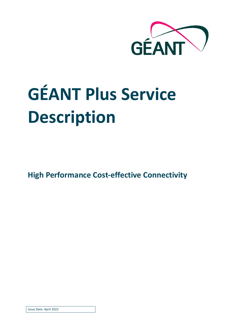

# **GÉANT Plus Service Description**

**High Performance Cost-effective Connectivity** 

Issue Date: April 2022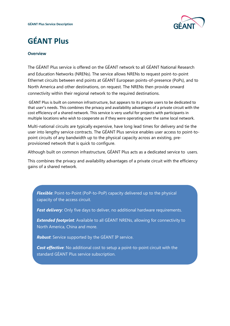

# **GÉANT Plus**

#### **Overview**

The GÉANT Plus service is offered on the GÉANT network to all GÉANT National Research and Education Networks (NRENs). The service allows NRENs to request point-to-point Ethernet circuits between end points at GÉANT European points-of-presence (PoPs), and to North America and other destinations, on request. The NRENs then provide onward connectivity within their regional network to the required destinations.

GÉANT Plus is built on common infrastructure, but appears to its private users to be dedicated to that user's needs. This combines the privacy and availability advantages of a private circuit with the cost efficiency of a shared network. This service is very useful for projects with participants in multiple locations who wish to cooperate as if they were operating over the same local network.

Multi-national circuits are typically expensive, have long lead times for delivery and tie the user into lengthy service contracts. The GÉANT Plus service enables user access to point-topoint circuits of any bandwidth up to the physical capacity across an existing, preprovisioned network that is quick to configure.

Although built on common infrastructure, GÉANT Plus acts as a dedicated service to users.

This combines the privacy and availability advantages of a private circuit with the efficiency gains of a shared network.

*Flexible*: Point-to-Point (PoP-to-PoP) capacity delivered up to the physical capacity of the access circuit.

**Fast delivery**: Only five days to deliver, no additional hardware requirements.

**Extended footprint**: Available to all GÉANT NRENs, allowing for connectivity to North America, China and more.

*Robust*: Service supported by the GÉANT IP service.

**Cost effective**: No additional cost to setup a point-to-point circuit with the standard GÉANT Plus service subscription.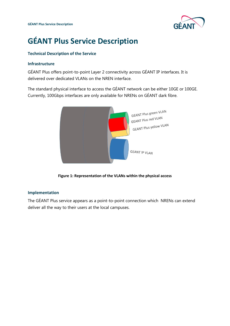

# **GÉANT Plus Service Description**

### **Technical Description of the Service**

#### **Infrastructure**

GÉANT Plus offers point-to-point Layer 2 connectivity across GÉANT IP interfaces. It is delivered over dedicated VLANs on the NREN interface.

The standard physical interface to access the GÉANT network can be either 10GE or 100GE. Currently, 100Gbps interfaces are only available for NRENs on GÉANT dark fibre.



**Figure 1: Representation of the VLANs within the physical access** 

### **Implementation**

The GÉANT Plus service appears as a point-to-point connection which NRENs can extend deliver all the way to their users at the local campuses.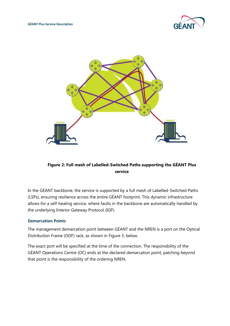



### **Figure 2: Full mesh of Labelled-Switched Paths supporting the GÉANT Plus service**

In the GÉANT backbone, the service is supported by a full mesh of Labelled-Switched Paths (LSPs), ensuring resilience across the entire GÉANT footprint. This dynamic infrastructure allows for a self-healing service, where faults in the backbone are automatically handled by the underlying Interior Gateway Protocol (IGP).

### **Demarcation Points**

The management demarcation point between GÉANT and the NREN is a port on the Optical Distribution Frame (ODF) rack, as shown in Figure 3, below.

The exact port will be specified at the time of the connection. The responsibility of the GÉANT Operations Centre (OC) ends at the declared demarcation point, patching beyond that point is the responsibility of the ordering NREN.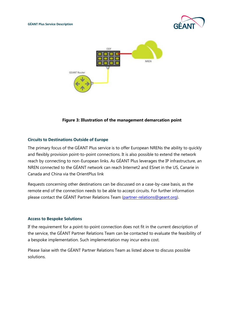



#### **Figure 3: Illustration of the management demarcation point**

#### **Circuits to Destinations Outside of Europe**

The primary focus of the GÉANT Plus service is to offer European NRENs the ability to quickly and flexibly provision point-to-point connections. It is also possible to extend the network reach by connecting to non-European links. As GÉANT Plus leverages the IP infrastructure, an NREN connected to the GÉANT network can reach Internet2 and ESnet in the US, Canarie in Canada and China via the OrientPlus link

Requests concerning other destinations can be discussed on a case-by-case basis, as the remote end of the connection needs to be able to accept circuits. For further information please contact the GÉANT Partner Relations Team [\(partner-relations@geant.o](mailto:partner-relations@geant.)rg).

#### **Access to Bespoke Solutions**

If the requirement for a point-to-point connection does not fit in the current description of the service, the GÉANT Partner Relations Team can be contacted to evaluate the feasibility of a bespoke implementation. Such implementation may incur extra cost.

Please liaise with the GÉANT Partner Relations Team as listed above to discuss possible solutions.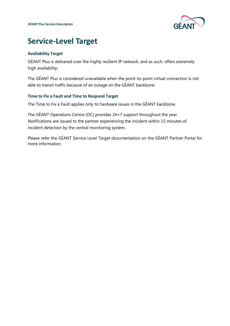

## **Service-Level Target**

### **Availability Target**

GÉANT Plus is delivered over the highly resilient IP network, and as such, offers extremely high availability:

The GÉANT Plus is considered unavailable when the point-to-point virtual connection is not able to transit traffic because of an outage on the GÉANT backbone.

#### **Time to Fix a Fault and Time to Respond Target**

The Time to Fix a Fault applies only to hardware issues in the GÉANT backbone.

The GÉANT Operations Centre (OC) provides 24×7 support throughout the year. Notifications are issued to the partner experiencing the incident within 15 minutes of incident detection by the central monitoring system.

Please refer the GÉANT Service Level Target documentation on the GÉANT Partner Portal for more information.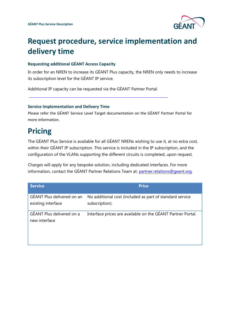

# **Request procedure, service implementation and delivery time**

#### **Requesting additional GÉANT Access Capacity**

In order for an NREN to increase its GÉANT Plus capacity, the NREN only needs to increase its subscription level for the GÉANT IP service.

Additional IP capacity can be requested via the GÉANT Partner Portal.

#### **Service Implementation and Delivery Time**

Please refer the GÉANT Service Level Target documentation on the GÉANT Partner Portal for more information.

## **Pricing**

The GÉANT Plus Service is available for all GÉANT NRENs wishing to use it, at no extra cost, within their GÉANT IP subscription. This service is included in the IP subscription, and the configuration of the VLANs supporting the different circuits is completed, upon request.

Charges will apply for any bespoke solution, including dedicated interfaces. For more information, contact the GÉANT Partner Relations Team at[: partner.relations@geant.o](mailto:partner.relations@geant.)rg.

| <b>Service</b>                                   | <b>Price</b>                                                               |
|--------------------------------------------------|----------------------------------------------------------------------------|
| GÉANT Plus delivered on an<br>existing interface | No additional cost (included as part of standard service<br>subscription). |
| GÉANT Plus delivered on a<br>new interface       | Interface prices are available on the GÉANT Partner Portal.                |